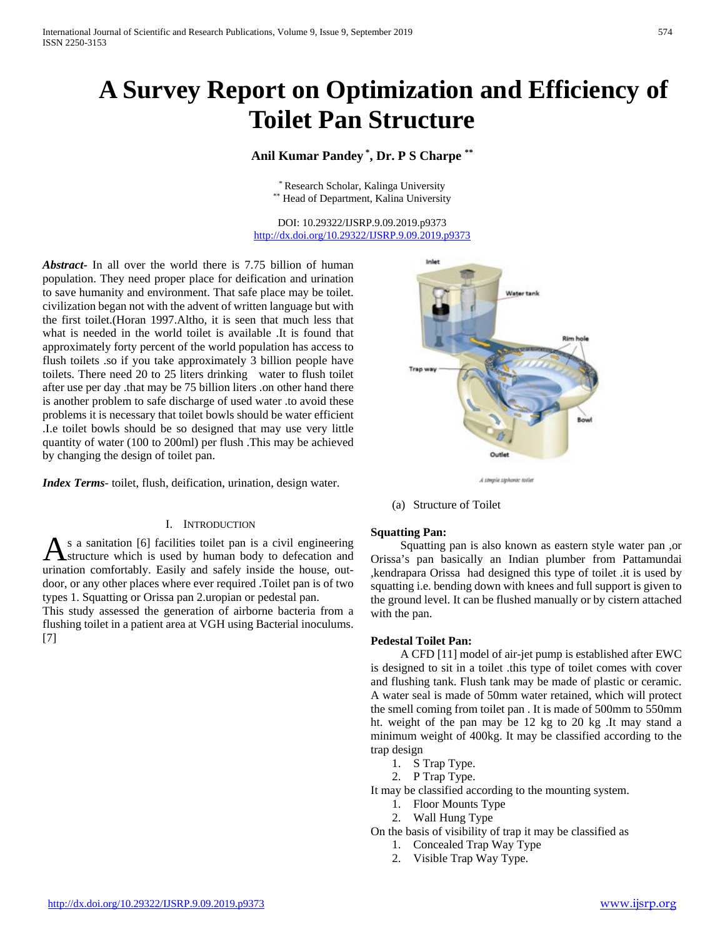# **A Survey Report on Optimization and Efficiency of Toilet Pan Structure**

# **Anil Kumar Pandey \* , Dr. P S Charpe \*\***

\* Research Scholar, Kalinga University \*\* Head of Department, Kalina University

DOI: 10.29322/IJSRP.9.09.2019.p9373 <http://dx.doi.org/10.29322/IJSRP.9.09.2019.p9373>

*Abstract***-** In all over the world there is 7.75 billion of human population. They need proper place for deification and urination to save humanity and environment. That safe place may be toilet. civilization began not with the advent of written language but with the first toilet.(Horan 1997.Altho, it is seen that much less that what is needed in the world toilet is available .It is found that approximately forty percent of the world population has access to flush toilets .so if you take approximately 3 billion people have toilets. There need 20 to 25 liters drinking water to flush toilet after use per day .that may be 75 billion liters .on other hand there is another problem to safe discharge of used water .to avoid these problems it is necessary that toilet bowls should be water efficient .I.e toilet bowls should be so designed that may use very little quantity of water (100 to 200ml) per flush .This may be achieved by changing the design of toilet pan.

*Index Terms*- toilet, flush, deification, urination, design water.

#### I. INTRODUCTION

s a sanitation [6] facilities toilet pan is a civil engineering structure which is used by human body to defecation and As a sanitation [6] facilities toilet pan is a civil engineering<br>distructure which is used by human body to defecation and<br>urination comfortably. Easily and safely inside the house, outdoor, or any other places where ever required .Toilet pan is of two types 1. Squatting or Orissa pan 2.uropian or pedestal pan.

This study assessed the generation of airborne bacteria from a flushing toilet in a patient area at VGH using Bacterial inoculums. [7]



(a) Structure of Toilet

#### **Squatting Pan:**

 Squatting pan is also known as eastern style water pan ,or Orissa's pan basically an Indian plumber from Pattamundai ,kendrapara Orissa had designed this type of toilet .it is used by squatting i.e. bending down with knees and full support is given to the ground level. It can be flushed manually or by cistern attached with the pan.

#### **Pedestal Toilet Pan:**

 A CFD [11] model of air-jet pump is established after EWC is designed to sit in a toilet .this type of toilet comes with cover and flushing tank. Flush tank may be made of plastic or ceramic. A water seal is made of 50mm water retained, which will protect the smell coming from toilet pan . It is made of 500mm to 550mm ht. weight of the pan may be 12 kg to 20 kg .It may stand a minimum weight of 400kg. It may be classified according to the trap design

- 1. S Trap Type.
- 2. P Trap Type.

It may be classified according to the mounting system.

- 1. Floor Mounts Type
- 2. Wall Hung Type
- On the basis of visibility of trap it may be classified as
	- 1. Concealed Trap Way Type
	- 2. Visible Trap Way Type.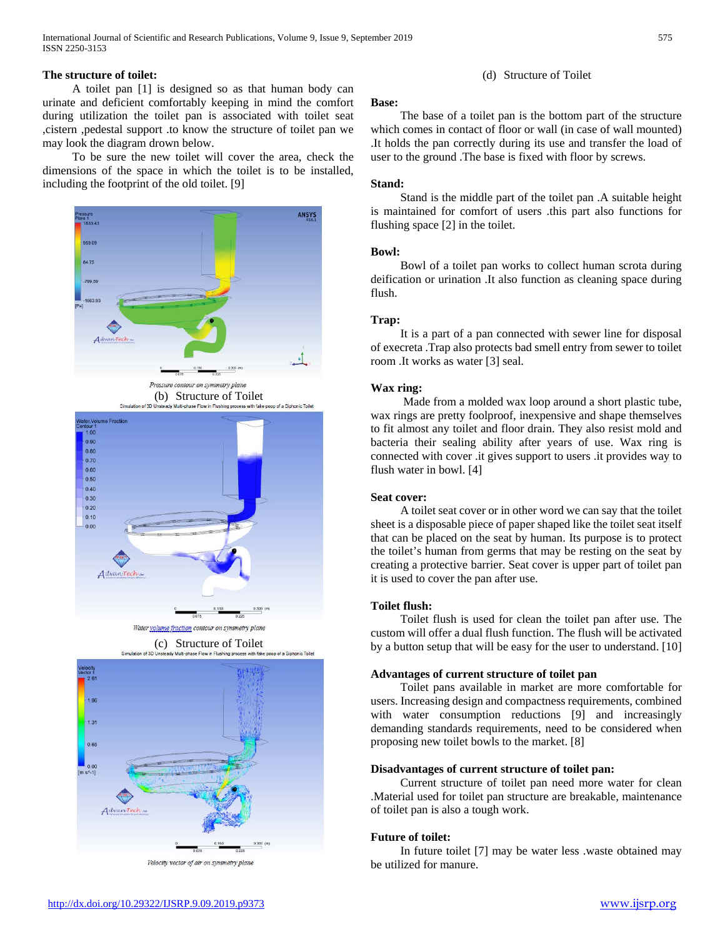International Journal of Scientific and Research Publications, Volume 9, Issue 9, September 2019 575 ISSN 2250-3153

# **The structure of toilet:**

 A toilet pan [1] is designed so as that human body can urinate and deficient comfortably keeping in mind the comfort during utilization the toilet pan is associated with toilet seat ,cistern ,pedestal support .to know the structure of toilet pan we may look the diagram drown below.

 To be sure the new toilet will cover the area, check the dimensions of the space in which the toilet is to be installed, including the footprint of the old toilet. [9]





Velocity vector of air on symmetry plane

### (d) Structure of Toilet

#### **Base:**

 The base of a toilet pan is the bottom part of the structure which comes in contact of floor or wall (in case of wall mounted) .It holds the pan correctly during its use and transfer the load of user to the ground .The base is fixed with floor by screws.

#### **Stand:**

 Stand is the middle part of the toilet pan .A suitable height is maintained for comfort of users .this part also functions for flushing space [2] in the toilet.

#### **Bowl:**

 Bowl of a toilet pan works to collect human scrota during deification or urination .It also function as cleaning space during flush.

#### **Trap:**

 It is a part of a pan connected with sewer line for disposal of execreta .Trap also protects bad smell entry from sewer to toilet room .It works as water [3] seal.

#### **Wax ring:**

 Made from a molded wax loop around a short plastic tube, wax rings are pretty foolproof, inexpensive and shape themselves to fit almost any toilet and floor drain. They also resist mold and bacteria their sealing ability after years of use. Wax ring is connected with cover .it gives support to users .it provides way to flush water in bowl. [4]

### **Seat cover:**

 A toilet seat cover or in other word we can say that the toilet sheet is a disposable piece of paper shaped like the toilet seat itself that can be placed on the seat by human. Its purpose is to protect the toilet's human from germs that may be resting on the seat by creating a protective barrier. Seat cover is upper part of toilet pan it is used to cover the pan after use.

#### **Toilet flush:**

 Toilet flush is used for clean the toilet pan after use. The custom will offer a dual flush function. The flush will be activated by a button setup that will be easy for the user to understand. [10]

#### **Advantages of current structure of toilet pan**

 Toilet pans available in market are more comfortable for users. Increasing design and compactness requirements, combined with water consumption reductions [9] and increasingly demanding standards requirements, need to be considered when proposing new toilet bowls to the market. [8]

# **Disadvantages of current structure of toilet pan:**

 Current structure of toilet pan need more water for clean .Material used for toilet pan structure are breakable, maintenance of toilet pan is also a tough work.

#### **Future of toilet:**

 In future toilet [7] may be water less .waste obtained may be utilized for manure.